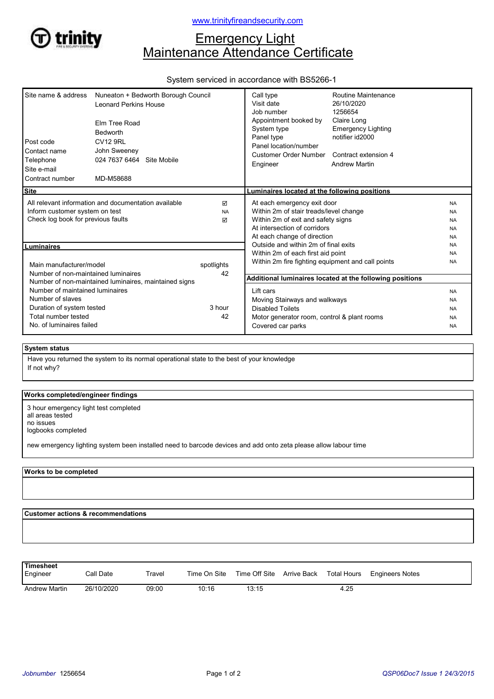

# **Emergency Light** Maintenance Attendance Certificate

#### System serviced in accordance with BS5266-1

| Site name & address<br>Post code<br>Contact name<br>Telephone<br>Site e-mail<br>Contract number                                                                                                                                                                | Nuneaton + Bedworth Borough Council<br><b>Leonard Perkins House</b><br>Elm Tree Road<br>Bedworth<br><b>CV12 9RL</b><br>John Sweeney<br>024 7637 6464 Site Mobile<br>MD-M58688 |                     | Call type<br>Visit date<br>Job number<br>Appointment booked by<br>System type<br>Panel type<br>Panel location/number<br>Customer Order Number<br>Engineer                  | Routine Maintenance<br>26/10/2020<br>1256654<br>Claire Long<br><b>Emergency Lighting</b><br>notifier id2000<br>Contract extension 4<br><b>Andrew Martin</b> |                                                               |
|----------------------------------------------------------------------------------------------------------------------------------------------------------------------------------------------------------------------------------------------------------------|-------------------------------------------------------------------------------------------------------------------------------------------------------------------------------|---------------------|----------------------------------------------------------------------------------------------------------------------------------------------------------------------------|-------------------------------------------------------------------------------------------------------------------------------------------------------------|---------------------------------------------------------------|
| <b>Site</b>                                                                                                                                                                                                                                                    |                                                                                                                                                                               |                     | Luminaires located at the following positions                                                                                                                              |                                                                                                                                                             |                                                               |
| All relevant information and documentation available<br>Inform customer system on test<br>Check log book for previous faults                                                                                                                                   |                                                                                                                                                                               | ☑<br><b>NA</b><br>☑ | At each emergency exit door<br>Within 2m of stair treads/level change<br>Within 2m of exit and safety signs<br>At intersection of corridors<br>At each change of direction |                                                                                                                                                             | <b>NA</b><br><b>NA</b><br><b>NA</b><br><b>NA</b><br><b>NA</b> |
| Luminaires                                                                                                                                                                                                                                                     |                                                                                                                                                                               |                     | Outside and within 2m of final exits                                                                                                                                       |                                                                                                                                                             | <b>NA</b>                                                     |
| Main manufacturer/model<br>Number of non-maintained luminaires<br>Number of non-maintained luminaires, maintained signs<br>Number of maintained luminaires<br>Number of slaves<br>Duration of system tested<br>Total number tested<br>No. of luminaires failed |                                                                                                                                                                               | spotlights<br>42    | Within 2m of each first aid point<br>Within 2m fire fighting equipment and call points                                                                                     |                                                                                                                                                             | <b>NA</b><br><b>NA</b>                                        |
|                                                                                                                                                                                                                                                                |                                                                                                                                                                               |                     | Additional luminaires located at the following positions                                                                                                                   |                                                                                                                                                             |                                                               |
|                                                                                                                                                                                                                                                                |                                                                                                                                                                               | 3 hour<br>42        | Lift cars<br>Moving Stairways and walkways<br><b>Disabled Toilets</b><br>Motor generator room, control & plant rooms<br>Covered car parks                                  |                                                                                                                                                             | <b>NA</b><br><b>NA</b><br><b>NA</b><br><b>NA</b><br><b>NA</b> |

## System status

If not why? Have you returned the system to its normal operational state to the best of your knowledge

#### Works completed/engineer findings

3 hour emergency light test completed all areas tested no issues logbooks completed

new emergency lighting system been installed need to barcode devices and add onto zeta please allow labour time

#### Works to be completed

Customer actions & recommendations

Engineer Call Date Travel Time On Site Time Off Site Arrive Back Total Hours Engineers Notes **Timesheet**<br>Engineer Andrew Martin 26/10/2020 09:00 10:16 13:15 4.25